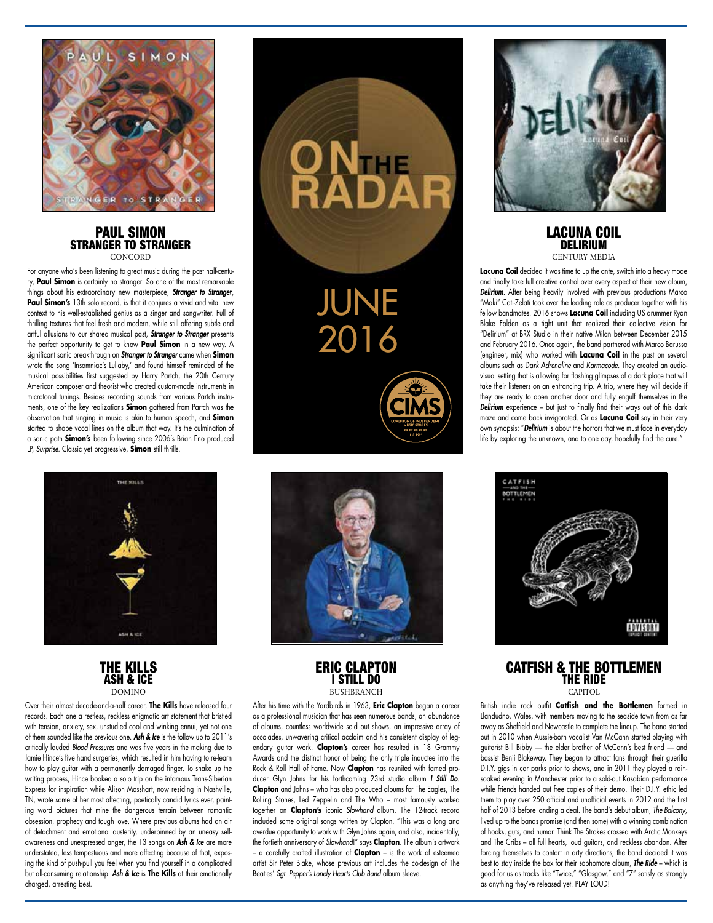

#### PAUL SIMON STRANGER TO STRANGER **CONCORD**

For anyone who's been listening to great music during the past half-century, **Paul Simon** is certainly no stranger. So one of the most remarkable things about his extraordinary new masterpiece, *Stranger to Stranger*, **Paul Simon's** 13th solo record, is that it conjures a vivid and vital new context to his well-established genius as a singer and songwriter. Full of thrilling textures that feel fresh and modern, while still offering subtle and artful allusions to our shared musical past, *Stranger to Stranger* presents the perfect opportunity to get to know **Paul Simon** in a new way. A significant sonic breakthrough on *Stranger to Stranger* came when **Simon** wrote the song 'Insomniac's Lullaby,' and found himself reminded of the musical possibilities first suggested by Harry Partch, the 20th Century American composer and theorist who created custom-made instruments in microtonal tunings. Besides recording sounds from various Partch instruments, one of the key realizations **Simon** gathered from Partch was the observation that singing in music is akin to human speech, and **Simon** started to shape vocal lines on the album that way. It's the culmination of a sonic path **Simon's** been following since 2006's Brian Eno produced LP, *Surprise.* Classic yet progressive, **Simon** still thrills.





Over their almost decade-and-a-half career, **The Kills** have released four records. Each one a restless, reckless enigmatic art statement that bristled with tension, anxiety, sex, unstudied cool and winking ennui, yet not one of them sounded like the previous one. *Ash & Ice* is the follow up to 2011's critically lauded *Blood Pressures* and was five years in the making due to Jamie Hince's five hand surgeries, which resulted in him having to re-learn how to play guitar with a permanently damaged finger. To shake up the writing process, Hince booked a solo trip on the infamous Trans-Siberian Express for inspiration while Alison Mosshart, now residing in Nashville, TN, wrote some of her most affecting, poetically candid lyrics ever, painting word pictures that mine the dangerous terrain between romantic obsession, prophecy and tough love. Where previous albums had an air of detachment and emotional austerity, underpinned by an uneasy selfawareness and unexpressed anger, the 13 songs on *Ash & Ice* are more understated, less tempestuous and more affecting because of that, exposing the kind of push-pull you feel when you find yourself in a complicated but all-consuming relationship. *Ash & Ice* is **The Kills** at their emotionally charged, arresting best.





# ERIC CLAPTON I STILL DO **BUSHBRANCH**

After his time with the Yardbirds in 1963, **Eric Clapton** began a career as a professional musician that has seen numerous bands, an abundance of albums, countless worldwide sold out shows, an impressive array of accolades, unwavering critical acclaim and his consistent display of legendary guitar work. **Clapton's** career has resulted in 18 Grammy Awards and the distinct honor of being the only triple inductee into the Rock & Roll Hall of Fame. Now **Clapton** has reunited with famed producer Glyn Johns for his forthcoming 23rd studio album *I Still Do*. **Clapton** and Johns – who has also produced albums for The Eagles, The Rolling Stones, Led Zeppelin and The Who – most famously worked together on **Clapton's** iconic *Slowhand* album. The 12-track record included some original songs written by Clapton. "This was a long and overdue opportunity to work with Glyn Johns again, and also, incidentally, the fortieth anniversary of *Slowhand*!" says **Clapton**. The album's artwork – a carefully crafted illustration of **Clapton** – is the work of esteemed artist Sir Peter Blake, whose previous art includes the co-design of The Beatles' *Sgt. Pepper's Lonely Hearts Club Band* album sleeve.



## LACUNA COIL **DELIRIUM** CENTURY MEDIA

**Lacuna Coil** decided it was time to up the ante, switch into a heavy mode and finally take full creative control over every aspect of their new album, *Delirium*. After being heavily involved with previous productions Marco "Maki" Coti-Zelati took over the leading role as producer together with his fellow bandmates. 2016 shows **Lacuna Coil** including US drummer Ryan Blake Folden as a tight unit that realized their collective vision for "Delirium" at BRX Studio in their native Milan between December 2015 and February 2016. Once again, the band partnered with Marco Barusso (engineer, mix) who worked with **Lacuna Coil** in the past on several albums such as Da*rk Adrenaline* and *Karmacode*. They created an audiovisual setting that is allowing for flashing glimpses of a dark place that will take their listeners on an entrancing trip. A trip, where they will decide if they are ready to open another door and fully engulf themselves in the **Delirium** experience – but just to finally find their ways out of this dark maze and come back invigorated. Or as **Lacuna Coil** say in their very own synopsis: "*Delirium* is about the horrors that we must face in everyday life by exploring the unknown, and to one day, hopefully find the cure."



## CATFISH & THE BOTTLEMEN THE RIDE **CAPITOL**

British indie rock outfit **Catfish and the Bottlemen** formed in Llandudno, Wales, with members moving to the seaside town from as far away as Sheffield and Newcastle to complete the lineup. The band started out in 2010 when Aussie-born vocalist Van McCann started playing with guitarist Bill Bibby — the elder brother of McCann's best friend — and bassist Benji Blakeway. They began to attract fans through their guerilla D.I.Y. gigs in car parks prior to shows, and in 2011 they played a rainsoaked evening in Manchester prior to a sold-out Kasabian performance while friends handed out free copies of their demo. Their D.I.Y. ethic led them to play over 250 official and unofficial events in 2012 and the first half of 2013 before landing a deal. The band's debut album, *The Balcony*, lived up to the bands promise (and then some) with a winning combination of hooks, guts, and humor. Think The Strokes crossed with Arctic Monkeys and The Cribs – all full hearts, loud guitars, and reckless abandon. After forcing themselves to contort in arty directions, the band decided it was best to stay inside the box for their sophomore album, *The Ride* – which is good for us as tracks like "Twice," "Glasgow," and "7" satisfy as strongly as anything they've released yet. PLAY LOUD!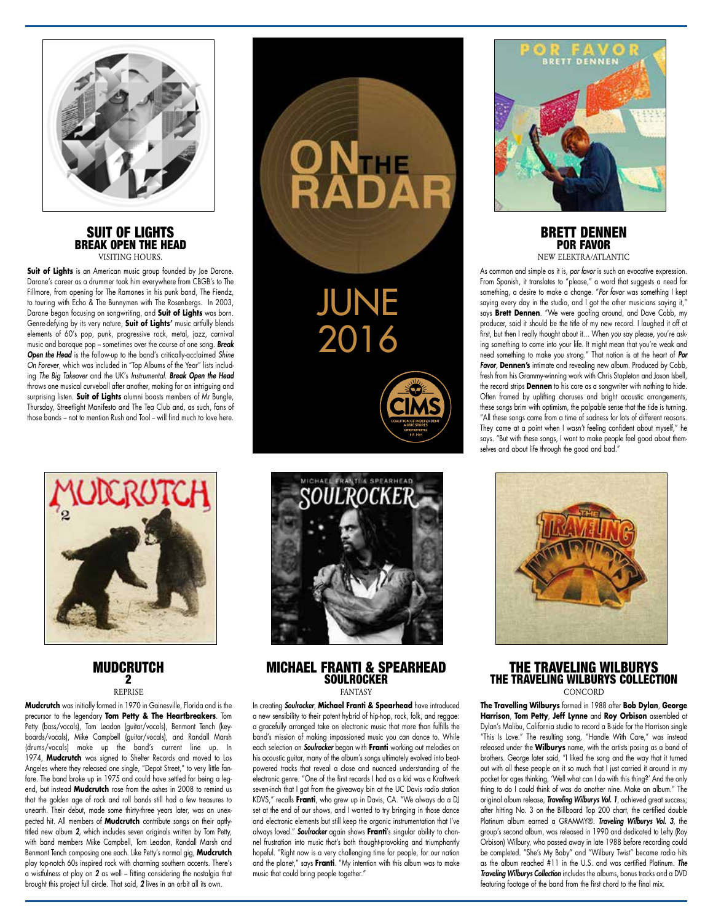

#### SUIT OF LIGHTS BREAK OPEN THE HEAD VISITING HOURS

**Suit of Lights** is an American music group founded by Joe Darone. Darone's career as a drummer took him everywhere from CBGB's to The Fillmore, from opening for The Ramones in his punk band, The Fiendz, to touring with Echo & The Bunnymen with The Rosenbergs. In 2003, Darone began focusing on songwriting, and **Suit of Lights** was born. Genre-defying by its very nature, **Suit of Lights'** music artfully blends elements of 60's pop, punk, progressive rock, metal, jazz, carnival music and baroque pop – sometimes over the course of one song. *Break Open the Head* is the follow-up to the band's critically-acclaimed *Shine On Forever*, which was included in "Top Albums of the Year" lists including *The Big Takeover* and the UK's *Instrumental*. *Break Open the Head*  throws one musical curveball after another, making for an intriguing and surprising listen. **Suit of Lights** alumni boasts members of Mr Bungle, Thursday, Streetlight Manifesto and The Tea Club and, as such, fans of those bands – not to mention Rush and Tool – will find much to love here.



## **MUDCRUTCH** 2 REPRISE

**Mudcrutch** was initially formed in 1970 in Gainesville, Florida and is the precursor to the legendary **Tom Petty & The Heartbreakers**. Tom Petty (bass/vocals), Tom Leadon (guitar/vocals), Benmont Tench (keyboards/vocals), Mike Campbell (guitar/vocals), and Randall Marsh (drums/vocals) make up the band's current line up. In 1974, **Mudcrutch** was signed to Shelter Records and moved to Los Angeles where they released one single, "Depot Street," to very little fanfare. The band broke up in 1975 and could have settled for being a legend, but instead **Mudcrutch** rose from the ashes in 2008 to remind us that the golden age of rock and roll bands still had a few treasures to unearth. Their debut, made some thirty-three years later, was an unexpected hit. All members of **Mudcrutch** contribute songs on their aptlytitled new album *2,* which includes seven originals written by Tom Petty, with band members Mike Campbell, Tom Leadon, Randall Marsh and Benmont Tench composing one each. Like Petty's normal gig, **Mudcrutch**  play top-notch 60s inspired rock with charming southern accents. There's a wistfulness at play on *2* as well – fitting considering the nostalgia that brought this project full circle. That said, *2* lives in an orbit all its own.





# MICHAEL FRANTI & SPEARHEAD **SOULROCKER** FANTASY

In creating *Soulrocker*, **Michael Franti & Spearhead** have introduced a new sensibility to their potent hybrid of hip-hop, rock, folk, and reggae: a gracefully arranged take on electronic music that more than fulfills the band's mission of making impassioned music you can dance to. While each selection on *Soulrocker* began with **Franti** working out melodies on his acoustic guitar, many of the album's songs ultimately evolved into beatpowered tracks that reveal a close and nuanced understanding of the electronic genre. "One of the first records I had as a kid was a Kraftwerk seven-inch that I got from the giveaway bin at the UC Davis radio station KDVS," recalls **Franti**, who grew up in Davis, CA. "We always do a DJ set at the end of our shows, and I wanted to try bringing in those dance and electronic elements but still keep the organic instrumentation that I've always loved." *Soulrocker* again shows **Franti**'s singular ability to channel frustration into music that's both thought-provoking and triumphantly hopeful. "Right now is a very challenging time for people, for our nation and the planet," says **Franti**. "My intention with this album was to make music that could bring people together."



#### BRETT DENNEN POR FAVOR NEW ELEKTRA/ATLANTIC

As common and simple as it is, *por favor* is such an evocative expression.

From Spanish, it translates to "please," a word that suggests a need for something, a desire to make a change. "*Por favor* was something I kept saying every day in the studio, and I got the other musicians saying it," says **Brett Dennen**. "We were goofing around, and Dave Cobb, my producer, said it should be the title of my new record. I laughed it off at first, but then I really thought about it... When you say please, you're asking something to come into your life. It might mean that you're weak and need something to make you strong." That notion is at the heart of *Por Favor*, **Dennen's** intimate and revealing new album. Produced by Cobb, fresh from his Grammy-winning work with Chris Stapleton and Jason Isbell, the record strips **Dennen** to his core as a songwriter with nothing to hide. Often framed by uplifting choruses and bright acoustic arrangements, these songs brim with optimism, the palpable sense that the tide is turning. "All these songs came from a time of sadness for lots of different reasons. They came at a point when I wasn't feeling confident about myself," he says. "But with these songs, I want to make people feel good about themselves and about life through the good and bad."



## THE TRAVELING WILBURYS THE TRAVELING WILBURYS COLLECTION CONCORD

**The Travelling Wilburys** formed in 1988 after **Bob Dylan**, **George Harrison**, **Tom Petty**, **Jeff Lynne** and **Roy Orbison** assembled at Dylan's Malibu, California studio to record a B-side for the Harrison single "This Is Love." The resulting song, "Handle With Care," was instead released under the **Wilburys** name, with the artists posing as a band of brothers. George later said, "I liked the song and the way that it turned out with all these people on it so much that I just carried it around in my pocket for ages thinking, 'Well what can I do with this thing?' And the only thing to do I could think of was do another nine. Make an album." The original album release, *Traveling Wilburys Vol. 1*, achieved great success; after hitting No. 3 on the Billboard Top 200 chart, the certified double Platinum album earned a GRAMMY®. *Traveling Wilburys Vol. 3*, the group's second album, was released in 1990 and dedicated to Lefty (Roy Orbison) Wilbury, who passed away in late 1988 before recording could be completed. "She's My Baby" and "Wilbury Twist" became radio hits as the album reached #11 in the U.S. and was certified Platinum. *The Traveling Wilburys Collection* includes the albums, bonus tracks and a DVD featuring footage of the band from the first chord to the final mix.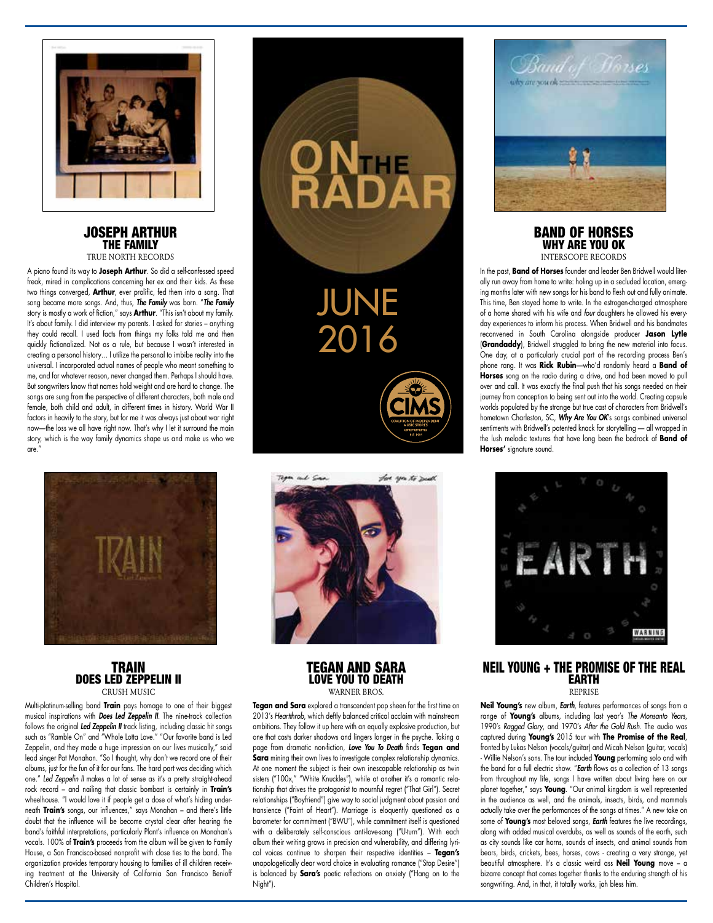

#### JOSEPH ARTHUR THE FAMILY TRUE NORTH RECORDS

A piano found its way to **Joseph Arthur**. So did a self-confessed speed freak, mired in complications concerning her ex and their kids. As these two things converged, **Arthur**, ever prolific, fed them into a song. That song became more songs. And, thus, *The Family* was born. "*The Family* story is mostly a work of fiction," says **Arthur**. "This isn't about my family. It's about family. I did interview my parents. I asked for stories – anything they could recall. I used facts from things my folks told me and then quickly fictionalized. Not as a rule, but because I wasn't interested in creating a personal history… I utilize the personal to imbibe reality into the universal. I incorporated actual names of people who meant something to me, and for whatever reason, never changed them. Perhaps I should have. But songwriters know that names hold weight and are hard to change. The songs are sung from the perspective of different characters, both male and female, both child and adult, in different times in history. World War II factors in heavily to the story, but for me it was always just about war right now—the loss we all have right now. That's why I let it surround the main story, which is the way family dynamics shape us and make us who we are."



## **TRAIN** DOES LED ZEPPELIN II CRUSH MUSIC

Multi-platinum-selling band **Train** pays homage to one of their biggest musical inspirations with *Does Led Zeppelin II.* The nine-track collection follows the original *Led Zeppelin II* track listing, including classic hit songs such as "Ramble On" and "Whole Lotta Love." "Our favorite band is Led Zeppelin, and they made a huge impression on our lives musically," said lead singer Pat Monahan. "So I thought, why don't we record one of their albums, just for the fun of it for our fans. The hard part was deciding which one." *Led Zeppelin II* makes a lot of sense as it's a pretty straight-ahead rock record – and nailing that classic bombast is certainly in **Train's**  wheelhouse. "I would love it if people get a dose of what's hiding underneath **Train's** songs, our influences," says Monahan – and there's little doubt that the influence will be become crystal clear after hearing the band's faithful interpretations, particularly Plant's influence on Monahan's vocals. 100% of **Train's** proceeds from the album will be given to Family House, a San Francisco-based nonprofit with close ties to the band. The organization provides temporary housing to families of ill children receiving treatment at the University of California San Francisco Benioff Children's Hospital.

## TEGAN AND SARA LOVE YOU TO DEATH WARNER BROS

**Tegan and Sara** explored a transcendent pop sheen for the first time on 2013's *Heartthrob*, which deftly balanced critical acclaim with mainstream ambitions. They follow it up here with an equally explosive production, but one that casts darker shadows and lingers longer in the psyche. Taking a page from dramatic non-fiction, *Love You To Death* finds **Tegan and Sara** mining their own lives to investigate complex relationship dynamics. At one moment the subject is their own inescapable relationship as twin sisters ("100x," "White Knuckles"), while at another it's a romantic relationship that drives the protagonist to mournful regret ("That Girl"). Secret relationships ("Boyfriend") give way to social judgment about passion and transience ("Faint of Heart"). Marriage is eloquently questioned as a barometer for commitment ("BWU"), while commitment itself is questioned with a deliberately self-conscious anti-love-song ("U-turn"). With each album their writing grows in precision and vulnerability, and differing lyrical voices continue to sharpen their respective identities – **Tegan's** unapologetically clear word choice in evaluating romance ("Stop Desire") is balanced by **Sara's** poetic reflections on anxiety ("Hang on to the Night").



#### BAND OF HORSES WHY ARE YOU OK INTERSCOPE RECORDS

In the past, **Band of Horses** founder and leader Ben Bridwell would literally run away from home to write: holing up in a secluded location, emerging months later with new songs for his band to flesh out and fully animate. This time, Ben stayed home to write. In the estrogen-charged atmosphere of a home shared with his wife and *four* daughters he allowed his everyday experiences to inform his process. When Bridwell and his bandmates reconvened in South Carolina alongside producer **Jason Lytle** (**Grandaddy**), Bridwell struggled to bring the new material into focus. One day, at a particularly crucial part of the recording process Ben's phone rang. It was **Rick Rubin**—who'd randomly heard a **Band of Horses** song on the radio during a drive, and had been moved to pull over and call. It was exactly the final push that his songs needed on their journey from conception to being sent out into the world. Creating capsule worlds populated by the strange but true cast of characters from Bridwell's hometown Charleston, SC, *Why Are You OK*'s songs combined universal sentiments with Bridwell's patented knack for storytelling — all wrapped in the lush melodic textures that have long been the bedrock of **Band of Horses'** signature sound.



NEIL YOUNG + THE PROMISE OF THE REAL EARTH **DEPPICE** 

**Neil Young's** new album, *Earth*, features performances of songs from a range of **Young's** albums, including last year's *The Monsanto Years*, 1990's *Ragged Glory*, and 1970's *After the Gold Rush*. The audio was captured during **Young's** 2015 tour with **The Promise of the Real**, fronted by Lukas Nelson (vocals/guitar) and Micah Nelson (guitar, vocals) - Willie Nelson's sons. The tour included **Young** performing solo and with the band for a full electric show. "*Earth* flows as a collection of 13 songs from throughout my life, songs I have written about living here on our planet together," says **Young**. "Our animal kingdom is well represented in the audience as well, and the animals, insects, birds, and mammals actually take over the performances of the songs at times." A new take on some of **Young's** most beloved songs, *Earth* features the live recordings, along with added musical overdubs, as well as sounds of the earth, such as city sounds like car horns, sounds of insects, and animal sounds from bears, birds, crickets, bees, horses, cows - creating a very strange, yet beautiful atmosphere. It's a classic weird ass **Neil Young** move – a bizarre concept that comes together thanks to the enduring strength of his songwriting. And, in that, it totally works, jah bless him.





**NTHE**